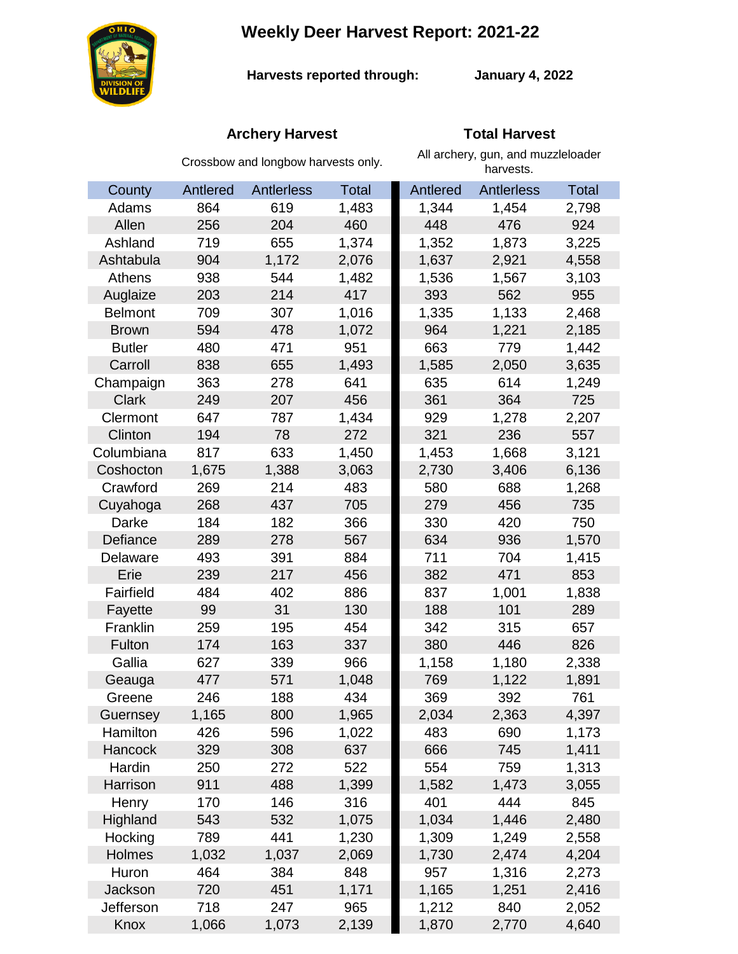# **Weekly Deer Harvest Report: 2021-22**



**Harvests reported through:** 

**January 4, 2022**

# **Archery Harvest Total Harvest**

|                | Crossbow and longbow harvests only. |            |              | All archery, gun, and muzzleloader<br>harvests. |            |       |  |
|----------------|-------------------------------------|------------|--------------|-------------------------------------------------|------------|-------|--|
| County         | Antlered                            | Antlerless | <b>Total</b> | Antlered                                        | Antlerless | Total |  |
| Adams          | 864                                 | 619        | 1,483        | 1,344                                           | 1,454      | 2,798 |  |
| Allen          | 256                                 | 204        | 460          | 448                                             | 476        | 924   |  |
| Ashland        | 719                                 | 655        | 1,374        | 1,352                                           | 1,873      | 3,225 |  |
| Ashtabula      | 904                                 | 1,172      | 2,076        | 1,637                                           | 2,921      | 4,558 |  |
| Athens         | 938                                 | 544        | 1,482        | 1,536                                           | 1,567      | 3,103 |  |
| Auglaize       | 203                                 | 214        | 417          | 393                                             | 562        | 955   |  |
| <b>Belmont</b> | 709                                 | 307        | 1,016        | 1,335                                           | 1,133      | 2,468 |  |
| <b>Brown</b>   | 594                                 | 478        | 1,072        | 964                                             | 1,221      | 2,185 |  |
| <b>Butler</b>  | 480                                 | 471        | 951          | 663                                             | 779        | 1,442 |  |
| Carroll        | 838                                 | 655        | 1,493        | 1,585                                           | 2,050      | 3,635 |  |
| Champaign      | 363                                 | 278        | 641          | 635                                             | 614        | 1,249 |  |
| <b>Clark</b>   | 249                                 | 207        | 456          | 361                                             | 364        | 725   |  |
| Clermont       | 647                                 | 787        | 1,434        | 929                                             | 1,278      | 2,207 |  |
| Clinton        | 194                                 | 78         | 272          | 321                                             | 236        | 557   |  |
| Columbiana     | 817                                 | 633        | 1,450        | 1,453                                           | 1,668      | 3,121 |  |
| Coshocton      | 1,675                               | 1,388      | 3,063        | 2,730                                           | 3,406      | 6,136 |  |
| Crawford       | 269                                 | 214        | 483          | 580                                             | 688        | 1,268 |  |
| Cuyahoga       | 268                                 | 437        | 705          | 279                                             | 456        | 735   |  |
| Darke          | 184                                 | 182        | 366          | 330                                             | 420        | 750   |  |
| Defiance       | 289                                 | 278        | 567          | 634                                             | 936        | 1,570 |  |
| Delaware       | 493                                 | 391        | 884          | 711                                             | 704        | 1,415 |  |
| Erie           | 239                                 | 217        | 456          | 382                                             | 471        | 853   |  |
| Fairfield      | 484                                 | 402        | 886          | 837                                             | 1,001      | 1,838 |  |
| Fayette        | 99                                  | 31         | 130          | 188                                             | 101        | 289   |  |
| Franklin       | 259                                 | 195        | 454          | 342                                             | 315        | 657   |  |
| Fulton         | 174                                 | 163        | 337          | 380                                             | 446        | 826   |  |
| Gallia         | 627                                 | 339        | 966          | 1,158                                           | 1,180      | 2,338 |  |
| Geauga         | 477                                 | 571        | 1,048        | 769                                             | 1,122      | 1,891 |  |
| Greene         | 246                                 | 188        | 434          | 369                                             | 392        | 761   |  |
| Guernsey       | 1,165                               | 800        | 1,965        | 2,034                                           | 2,363      | 4,397 |  |
| Hamilton       | 426                                 | 596        | 1,022        | 483                                             | 690        | 1,173 |  |
| Hancock        | 329                                 | 308        | 637          | 666                                             | 745        | 1,411 |  |
| Hardin         | 250                                 | 272        | 522          | 554                                             | 759        | 1,313 |  |
| Harrison       | 911                                 | 488        | 1,399        | 1,582                                           | 1,473      | 3,055 |  |
| Henry          | 170                                 | 146        | 316          | 401                                             | 444        | 845   |  |
| Highland       | 543                                 | 532        | 1,075        | 1,034                                           | 1,446      | 2,480 |  |
| Hocking        | 789                                 | 441        | 1,230        | 1,309                                           | 1,249      | 2,558 |  |
| Holmes         | 1,032                               | 1,037      | 2,069        | 1,730                                           | 2,474      | 4,204 |  |
| Huron          | 464                                 | 384        | 848          | 957                                             | 1,316      | 2,273 |  |
| <b>Jackson</b> | 720                                 | 451        | 1,171        | 1,165                                           | 1,251      | 2,416 |  |
| Jefferson      | 718                                 | 247        | 965          | 1,212                                           | 840        | 2,052 |  |
| Knox           | 1,066                               | 1,073      | 2,139        | 1,870                                           | 2,770      | 4,640 |  |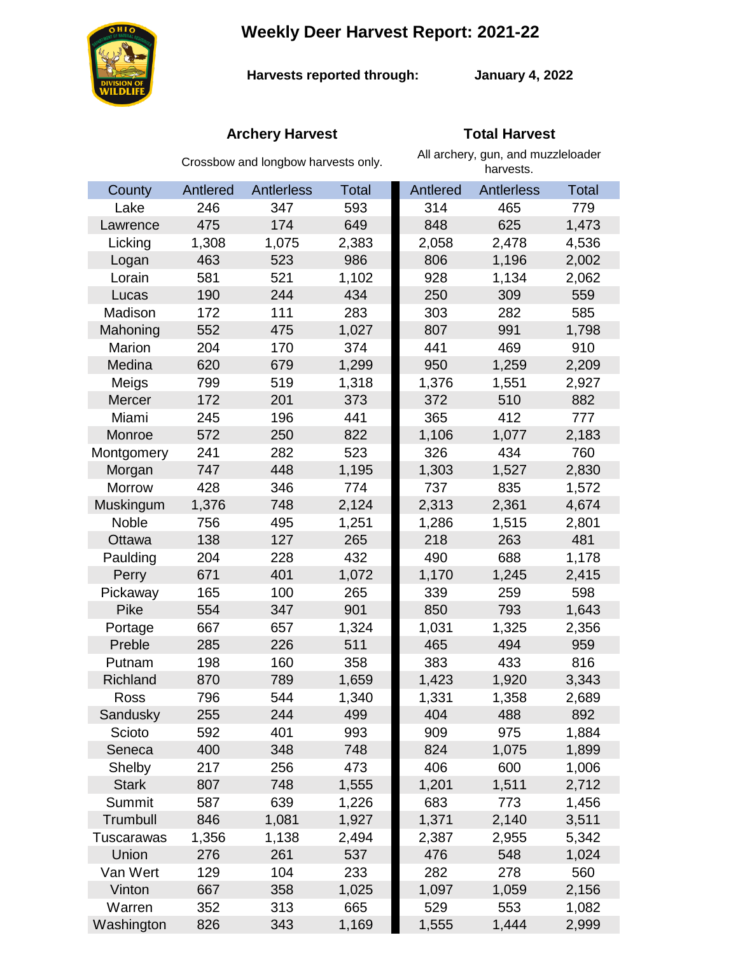# **Weekly Deer Harvest Report: 2021-22**



**Harvests reported through:** 

**January 4, 2022**

# **Archery Harvest Total Harvest**

|               | Crossbow and longbow harvests only. |                   |              | All archery, gun, and muzzleloader<br>harvests. |            |              |  |
|---------------|-------------------------------------|-------------------|--------------|-------------------------------------------------|------------|--------------|--|
| County        | Antlered                            | <b>Antlerless</b> | <b>Total</b> | Antlered                                        | Antlerless | <b>Total</b> |  |
| Lake          | 246                                 | 347               | 593          | 314                                             | 465        | 779          |  |
| Lawrence      | 475                                 | 174               | 649          | 848                                             | 625        | 1,473        |  |
| Licking       | 1,308                               | 1,075             | 2,383        | 2,058                                           | 2,478      | 4,536        |  |
| Logan         | 463                                 | 523               | 986          | 806                                             | 1,196      | 2,002        |  |
| Lorain        | 581                                 | 521               | 1,102        | 928                                             | 1,134      | 2,062        |  |
| Lucas         | 190                                 | 244               | 434          | 250                                             | 309        | 559          |  |
| Madison       | 172                                 | 111               | 283          | 303                                             | 282        | 585          |  |
| Mahoning      | 552                                 | 475               | 1,027        | 807                                             | 991        | 1,798        |  |
| Marion        | 204                                 | 170               | 374          | 441                                             | 469        | 910          |  |
| Medina        | 620                                 | 679               | 1,299        | 950                                             | 1,259      | 2,209        |  |
| Meigs         | 799                                 | 519               | 1,318        | 1,376                                           | 1,551      | 2,927        |  |
| Mercer        | 172                                 | 201               | 373          | 372                                             | 510        | 882          |  |
| Miami         | 245                                 | 196               | 441          | 365                                             | 412        | 777          |  |
| Monroe        | 572                                 | 250               | 822          | 1,106                                           | 1,077      | 2,183        |  |
| Montgomery    | 241                                 | 282               | 523          | 326                                             | 434        | 760          |  |
| Morgan        | 747                                 | 448               | 1,195        | 1,303                                           | 1,527      | 2,830        |  |
| <b>Morrow</b> | 428                                 | 346               | 774          | 737                                             | 835        | 1,572        |  |
| Muskingum     | 1,376                               | 748               | 2,124        | 2,313                                           | 2,361      | 4,674        |  |
| Noble         | 756                                 | 495               | 1,251        | 1,286                                           | 1,515      | 2,801        |  |
| Ottawa        | 138                                 | 127               | 265          | 218                                             | 263        | 481          |  |
| Paulding      | 204                                 | 228               | 432          | 490                                             | 688        | 1,178        |  |
| Perry         | 671                                 | 401               | 1,072        | 1,170                                           | 1,245      | 2,415        |  |
| Pickaway      | 165                                 | 100               | 265          | 339                                             | 259        | 598          |  |
| <b>Pike</b>   | 554                                 | 347               | 901          | 850                                             | 793        | 1,643        |  |
| Portage       | 667                                 | 657               | 1,324        | 1,031                                           | 1,325      | 2,356        |  |
| Preble        | 285                                 | 226               | 511          | 465                                             | 494        | 959          |  |
| Putnam        | 198                                 | 160               | 358          | 383                                             | 433        | 816          |  |
| Richland      | 870                                 | 789               | 1,659        | 1,423                                           | 1,920      | 3,343        |  |
| Ross          | 796                                 | 544               | 1,340        | 1,331                                           | 1,358      | 2,689        |  |
| Sandusky      | 255                                 | 244               | 499          | 404                                             | 488        | 892          |  |
| Scioto        | 592                                 | 401               | 993          | 909                                             | 975        | 1,884        |  |
| Seneca        | 400                                 | 348               | 748          | 824                                             | 1,075      | 1,899        |  |
| Shelby        | 217                                 | 256               | 473          | 406                                             | 600        | 1,006        |  |
| <b>Stark</b>  | 807                                 | 748               | 1,555        | 1,201                                           | 1,511      | 2,712        |  |
| Summit        | 587                                 | 639               | 1,226        | 683                                             | 773        | 1,456        |  |
| Trumbull      | 846                                 | 1,081             | 1,927        | 1,371                                           | 2,140      | 3,511        |  |
| Tuscarawas    | 1,356                               | 1,138             | 2,494        | 2,387                                           | 2,955      | 5,342        |  |
| Union         | 276                                 | 261               | 537          | 476                                             | 548        | 1,024        |  |
| Van Wert      | 129                                 | 104               | 233          | 282                                             | 278        | 560          |  |
| Vinton        | 667                                 | 358               | 1,025        | 1,097                                           | 1,059      | 2,156        |  |
| Warren        | 352                                 | 313               | 665          | 529                                             | 553        | 1,082        |  |
| Washington    | 826                                 | 343               | 1,169        | 1,555                                           | 1,444      | 2,999        |  |